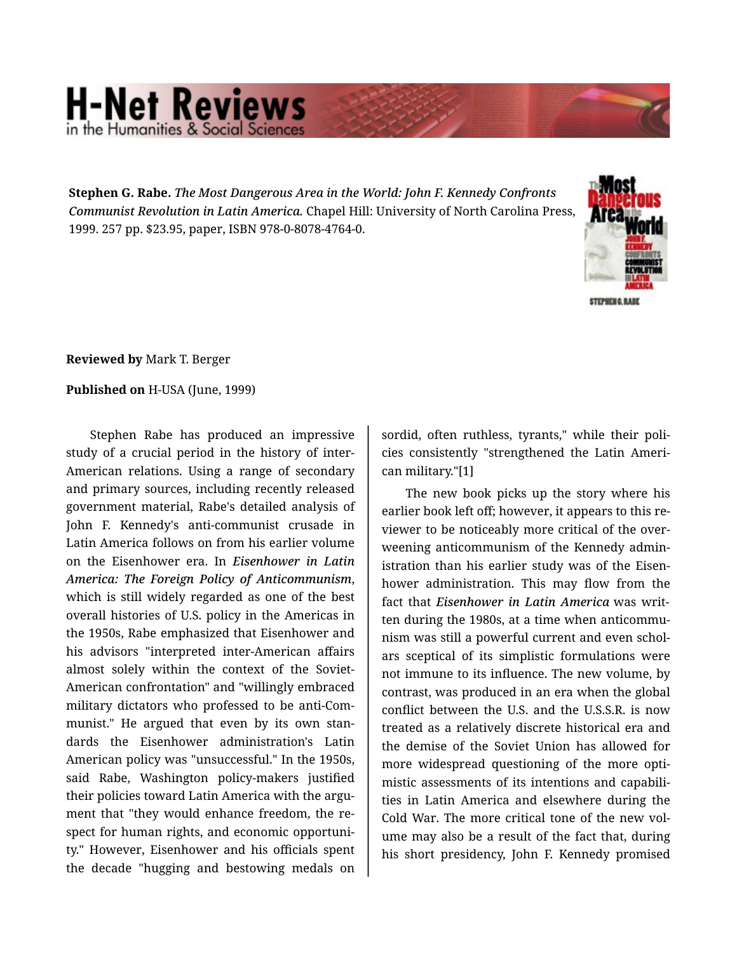## **H-Net Reviews** he Humanities & Social Scie

**Stephen G. Rabe.** *The Most Dangerous Area in the World: John F. Kennedy Confronts Communist Revolution in Latin America.* Chapel Hill: University of North Carolina Press, 1999. 257 pp. \$23.95, paper, ISBN 978-0-8078-4764-0.



STEPHENG, RJ

**Reviewed by** Mark T. Berger

## **Published on** H-USA (June, 1999)

Stephen Rabe has produced an impressive study of a crucial period in the history of inter-American relations. Using a range of secondary and primary sources, including recently released government material, Rabe's detailed analysis of John F. Kennedy's anti-communist crusade in Latin America follows on from his earlier volume on the Eisenhower era. In *Eisenhower in Latin America: The Foreign Policy of Anticommunism*, which is still widely regarded as one of the best overall histories of U.S. policy in the Americas in the 1950s, Rabe emphasized that Eisenhower and his advisors "interpreted inter-American affairs almost solely within the context of the Soviet-American confrontation" and "willingly embraced military dictators who professed to be anti-Com‐ munist." He argued that even by its own stan‐ dards the Eisenhower administration's Latin American policy was "unsuccessful." In the 1950s, said Rabe, Washington policy-makers justified their policies toward Latin America with the argument that "they would enhance freedom, the re‐ spect for human rights, and economic opportuni‐ ty." However, Eisenhower and his officials spent the decade "hugging and bestowing medals on sordid, often ruthless, tyrants," while their poli‐ cies consistently "strengthened the Latin Ameri‐ can military."[1]

The new book picks up the story where his earlier book left off; however, it appears to this re‐ viewer to be noticeably more critical of the over‐ weening anticommunism of the Kennedy admin‐ istration than his earlier study was of the Eisenhower administration. This may flow from the fact that *Eisenhower in Latin America* was writ‐ ten during the 1980s, at a time when anticommu‐ nism was still a powerful current and even schol‐ ars sceptical of its simplistic formulations were not immune to its influence. The new volume, by contrast, was produced in an era when the global conflict between the U.S. and the U.S.S.R. is now treated as a relatively discrete historical era and the demise of the Soviet Union has allowed for more widespread questioning of the more optimistic assessments of its intentions and capabili‐ ties in Latin America and elsewhere during the Cold War. The more critical tone of the new vol‐ ume may also be a result of the fact that, during his short presidency, John F. Kennedy promised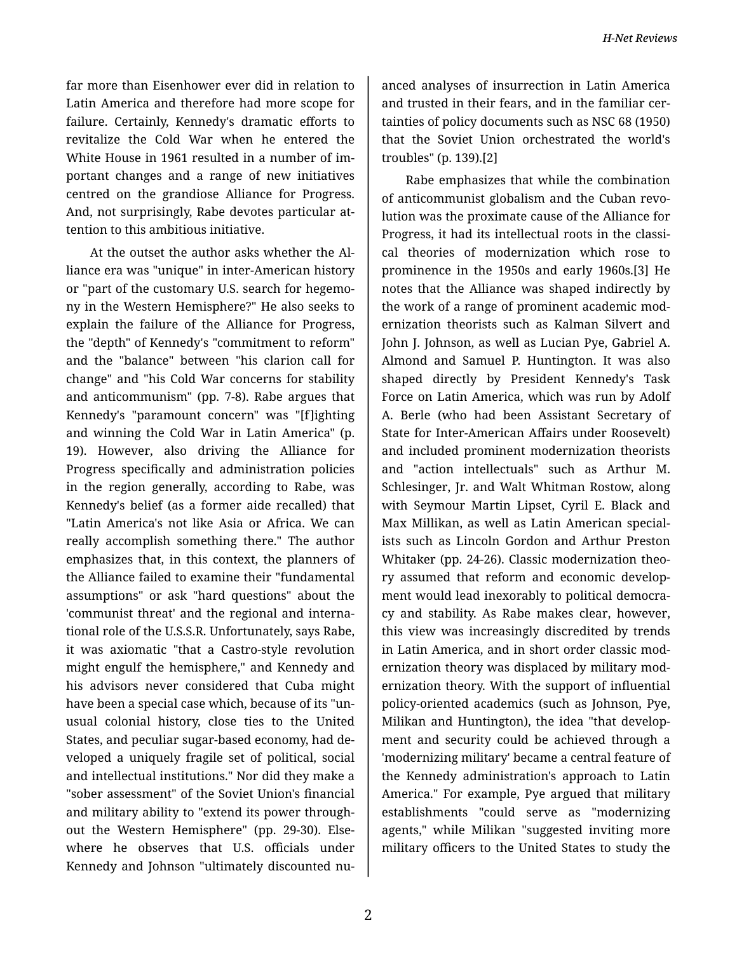far more than Eisenhower ever did in relation to Latin America and therefore had more scope for failure. Certainly, Kennedy's dramatic efforts to revitalize the Cold War when he entered the White House in 1961 resulted in a number of im‐ portant changes and a range of new initiatives centred on the grandiose Alliance for Progress. And, not surprisingly, Rabe devotes particular at‐ tention to this ambitious initiative.

At the outset the author asks whether the Al‐ liance era was "unique" in inter-American history or "part of the customary U.S. search for hegemo‐ ny in the Western Hemisphere?" He also seeks to explain the failure of the Alliance for Progress, the "depth" of Kennedy's "commitment to reform" and the "balance" between "his clarion call for change" and "his Cold War concerns for stability and anticommunism" (pp. 7-8). Rabe argues that Kennedy's "paramount concern" was "[f]ighting and winning the Cold War in Latin America" (p. 19). However, also driving the Alliance for Progress specifically and administration policies in the region generally, according to Rabe, was Kennedy's belief (as a former aide recalled) that "Latin America's not like Asia or Africa. We can really accomplish something there." The author emphasizes that, in this context, the planners of the Alliance failed to examine their "fundamental assumptions" or ask "hard questions" about the 'communist threat' and the regional and interna‐ tional role of the U.S.S.R. Unfortunately, says Rabe, it was axiomatic "that a Castro-style revolution might engulf the hemisphere," and Kennedy and his advisors never considered that Cuba might have been a special case which, because of its "un‐ usual colonial history, close ties to the United States, and peculiar sugar-based economy, had de‐ veloped a uniquely fragile set of political, social and intellectual institutions." Nor did they make a "sober assessment" of the Soviet Union's financial and military ability to "extend its power through‐ out the Western Hemisphere" (pp. 29-30). Else‐ where he observes that U.S. officials under Kennedy and Johnson "ultimately discounted nu‐

anced analyses of insurrection in Latin America and trusted in their fears, and in the familiar cer‐ tainties of policy documents such as NSC 68 (1950) that the Soviet Union orchestrated the world's troubles" (p. 139).[2]

Rabe emphasizes that while the combination of anticommunist globalism and the Cuban revo‐ lution was the proximate cause of the Alliance for Progress, it had its intellectual roots in the classi‐ cal theories of modernization which rose to prominence in the 1950s and early 1960s.[3] He notes that the Alliance was shaped indirectly by the work of a range of prominent academic mod‐ ernization theorists such as Kalman Silvert and John J. Johnson, as well as Lucian Pye, Gabriel A. Almond and Samuel P. Huntington. It was also shaped directly by President Kennedy's Task Force on Latin America, which was run by Adolf A. Berle (who had been Assistant Secretary of State for Inter-American Affairs under Roosevelt) and included prominent modernization theorists and "action intellectuals" such as Arthur M. Schlesinger, Jr. and Walt Whitman Rostow, along with Seymour Martin Lipset, Cyril E. Black and Max Millikan, as well as Latin American special‐ ists such as Lincoln Gordon and Arthur Preston Whitaker (pp. 24-26). Classic modernization theo‐ ry assumed that reform and economic develop‐ ment would lead inexorably to political democra‐ cy and stability. As Rabe makes clear, however, this view was increasingly discredited by trends in Latin America, and in short order classic mod‐ ernization theory was displaced by military mod‐ ernization theory. With the support of influential policy-oriented academics (such as Johnson, Pye, Milikan and Huntington), the idea "that develop‐ ment and security could be achieved through a 'modernizing military' became a central feature of the Kennedy administration's approach to Latin America." For example, Pye argued that military establishments "could serve as "modernizing agents," while Milikan "suggested inviting more military officers to the United States to study the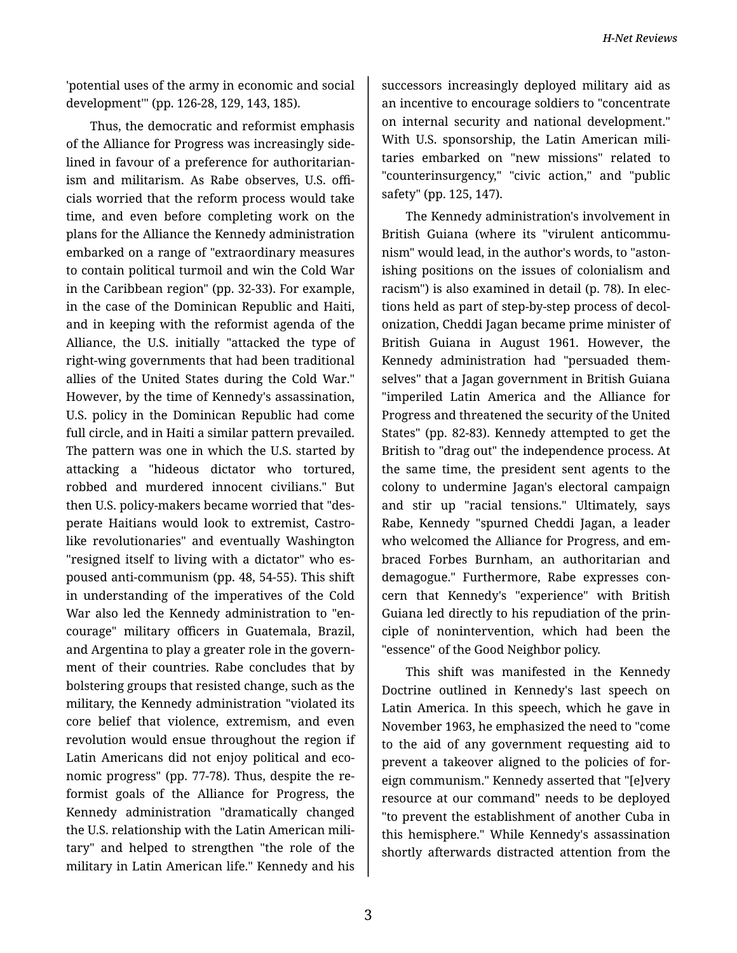*H-Net Reviews*

'potential uses of the army in economic and social development'" (pp. 126-28, 129, 143, 185).

Thus, the democratic and reformist emphasis of the Alliance for Progress was increasingly side‐ lined in favour of a preference for authoritarian‐ ism and militarism. As Rabe observes, U.S. offi‐ cials worried that the reform process would take time, and even before completing work on the plans for the Alliance the Kennedy administration embarked on a range of "extraordinary measures to contain political turmoil and win the Cold War in the Caribbean region" (pp. 32-33). For example, in the case of the Dominican Republic and Haiti, and in keeping with the reformist agenda of the Alliance, the U.S. initially "attacked the type of right-wing governments that had been traditional allies of the United States during the Cold War." However, by the time of Kennedy's assassination, U.S. policy in the Dominican Republic had come full circle, and in Haiti a similar pattern prevailed. The pattern was one in which the U.S. started by attacking a "hideous dictator who tortured, robbed and murdered innocent civilians." But then U.S. policy-makers became worried that "des‐ perate Haitians would look to extremist, Castrolike revolutionaries" and eventually Washington "resigned itself to living with a dictator" who es‐ poused anti-communism (pp. 48, 54-55). This shift in understanding of the imperatives of the Cold War also led the Kennedy administration to "en‐ courage" military officers in Guatemala, Brazil, and Argentina to play a greater role in the govern‐ ment of their countries. Rabe concludes that by bolstering groups that resisted change, such as the military, the Kennedy administration "violated its core belief that violence, extremism, and even revolution would ensue throughout the region if Latin Americans did not enjoy political and eco‐ nomic progress" (pp. 77-78). Thus, despite the re‐ formist goals of the Alliance for Progress, the Kennedy administration "dramatically changed the U.S. relationship with the Latin American mili‐ tary" and helped to strengthen "the role of the military in Latin American life." Kennedy and his

successors increasingly deployed military aid as an incentive to encourage soldiers to "concentrate on internal security and national development." With U.S. sponsorship, the Latin American militaries embarked on "new missions" related to "counterinsurgency," "civic action," and "public safety" (pp. 125, 147).

The Kennedy administration's involvement in British Guiana (where its "virulent anticommu‐ nism" would lead, in the author's words, to "aston‐ ishing positions on the issues of colonialism and racism") is also examined in detail (p. 78). In elec‐ tions held as part of step-by-step process of decol‐ onization, Cheddi Jagan became prime minister of British Guiana in August 1961. However, the Kennedy administration had "persuaded them‐ selves" that a Jagan government in British Guiana "imperiled Latin America and the Alliance for Progress and threatened the security of the United States" (pp. 82-83). Kennedy attempted to get the British to "drag out" the independence process. At the same time, the president sent agents to the colony to undermine Jagan's electoral campaign and stir up "racial tensions." Ultimately, says Rabe, Kennedy "spurned Cheddi Jagan, a leader who welcomed the Alliance for Progress, and em‐ braced Forbes Burnham, an authoritarian and demagogue." Furthermore, Rabe expresses con‐ cern that Kennedy's "experience" with British Guiana led directly to his repudiation of the prin‐ ciple of nonintervention, which had been the "essence" of the Good Neighbor policy.

This shift was manifested in the Kennedy Doctrine outlined in Kennedy's last speech on Latin America. In this speech, which he gave in November 1963, he emphasized the need to "come to the aid of any government requesting aid to prevent a takeover aligned to the policies of for‐ eign communism." Kennedy asserted that "[e]very resource at our command" needs to be deployed "to prevent the establishment of another Cuba in this hemisphere." While Kennedy's assassination shortly afterwards distracted attention from the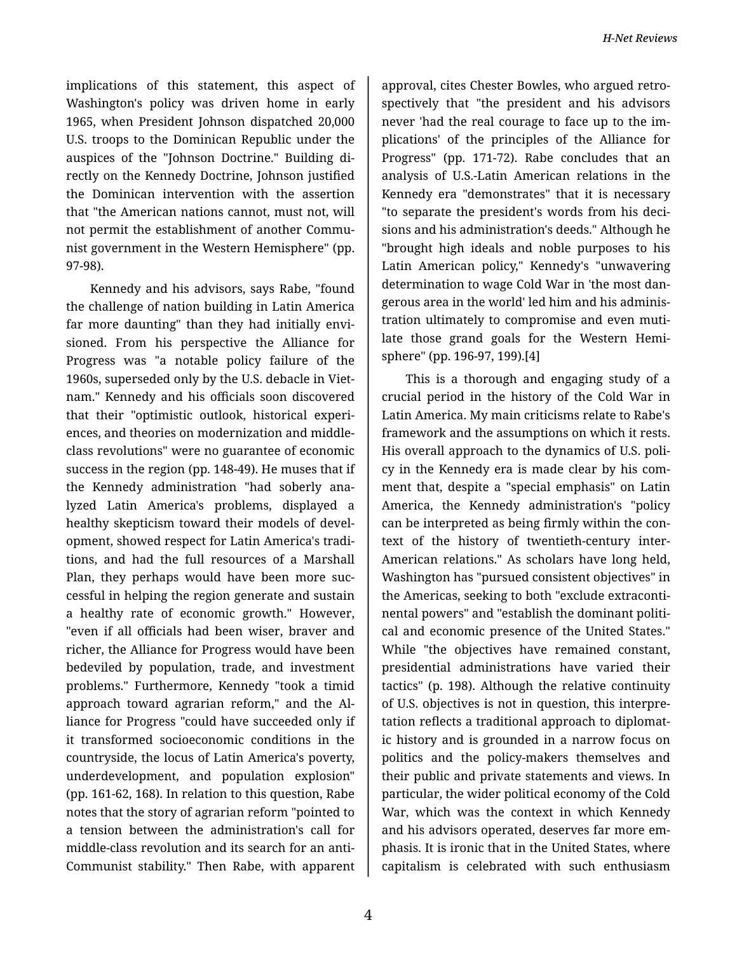implications of this statement, this aspect of Washington's policy was driven home in early 1965, when President Johnson dispatched 20,000 U.S. troops to the Dominican Republic under the auspices of the "Johnson Doctrine." Building di‐ rectly on the Kennedy Doctrine, Johnson justified the Dominican intervention with the assertion that "the American nations cannot, must not, will not permit the establishment of another Commu‐ nist government in the Western Hemisphere" (pp. 97-98).

Kennedy and his advisors, says Rabe, "found the challenge of nation building in Latin America far more daunting" than they had initially envi‐ sioned. From his perspective the Alliance for Progress was "a notable policy failure of the 1960s, superseded only by the U.S. debacle in Viet‐ nam." Kennedy and his officials soon discovered that their "optimistic outlook, historical experi‐ ences, and theories on modernization and middleclass revolutions" were no guarantee of economic success in the region (pp. 148-49). He muses that if the Kennedy administration "had soberly ana‐ lyzed Latin America's problems, displayed a healthy skepticism toward their models of devel‐ opment, showed respect for Latin America's tradi‐ tions, and had the full resources of a Marshall Plan, they perhaps would have been more suc‐ cessful in helping the region generate and sustain a healthy rate of economic growth." However, "even if all officials had been wiser, braver and richer, the Alliance for Progress would have been bedeviled by population, trade, and investment problems." Furthermore, Kennedy "took a timid approach toward agrarian reform," and the Al‐ liance for Progress "could have succeeded only if it transformed socioeconomic conditions in the countryside, the locus of Latin America's poverty, underdevelopment, and population explosion" (pp. 161-62, 168). In relation to this question, Rabe notes that the story of agrarian reform "pointed to a tension between the administration's call for middle-class revolution and its search for an anti-Communist stability." Then Rabe, with apparent

approval, cites Chester Bowles, who argued retro‐ spectively that "the president and his advisors never 'had the real courage to face up to the im‐ plications' of the principles of the Alliance for Progress" (pp. 171-72). Rabe concludes that an analysis of U.S.-Latin American relations in the Kennedy era "demonstrates" that it is necessary "to separate the president's words from his deci‐ sions and his administration's deeds." Although he "brought high ideals and noble purposes to his Latin American policy," Kennedy's "unwavering determination to wage Cold War in 'the most dan‐ gerous area in the world' led him and his adminis‐ tration ultimately to compromise and even muti‐ late those grand goals for the Western Hemi‐ sphere" (pp. 196-97, 199).[4]

This is a thorough and engaging study of a crucial period in the history of the Cold War in Latin America. My main criticisms relate to Rabe's framework and the assumptions on which it rests. His overall approach to the dynamics of U.S. poli‐ cy in the Kennedy era is made clear by his com‐ ment that, despite a "special emphasis" on Latin America, the Kennedy administration's "policy can be interpreted as being firmly within the con‐ text of the history of twentieth-century inter-American relations." As scholars have long held, Washington has "pursued consistent objectives" in the Americas, seeking to both "exclude extraconti‐ nental powers" and "establish the dominant politi‐ cal and economic presence of the United States." While "the objectives have remained constant, presidential administrations have varied their tactics" (p. 198). Although the relative continuity of U.S. objectives is not in question, this interpre‐ tation reflects a traditional approach to diplomat‐ ic history and is grounded in a narrow focus on politics and the policy-makers themselves and their public and private statements and views. In particular, the wider political economy of the Cold War, which was the context in which Kennedy and his advisors operated, deserves far more em‐ phasis. It is ironic that in the United States, where capitalism is celebrated with such enthusiasm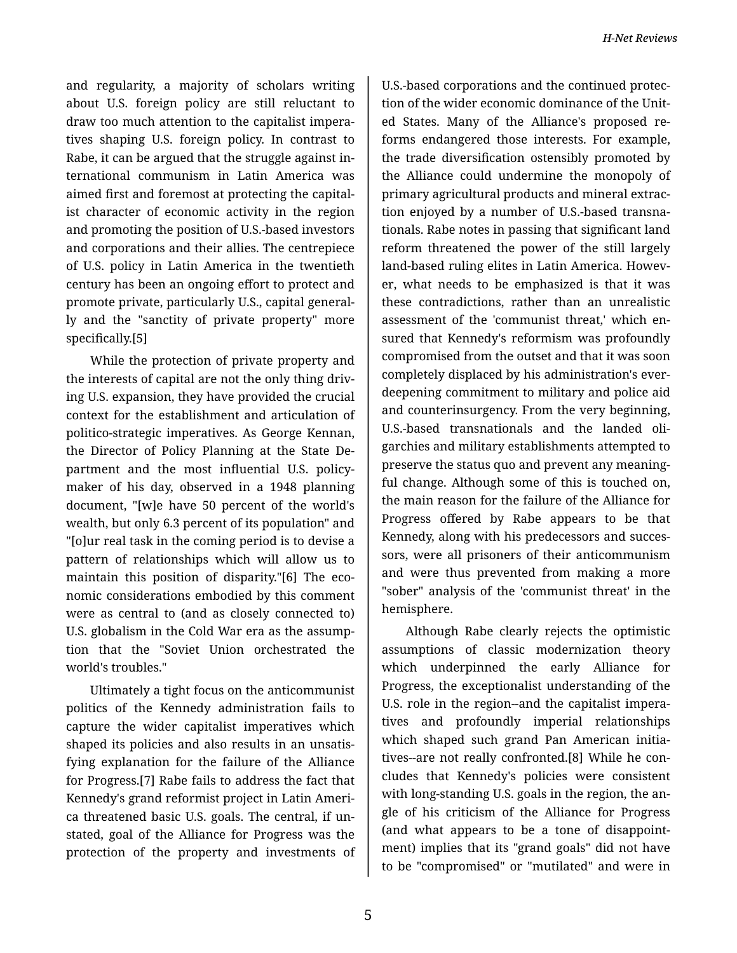and regularity, a majority of scholars writing about U.S. foreign policy are still reluctant to draw too much attention to the capitalist impera‐ tives shaping U.S. foreign policy. In contrast to Rabe, it can be argued that the struggle against in‐ ternational communism in Latin America was aimed first and foremost at protecting the capital‐ ist character of economic activity in the region and promoting the position of U.S.-based investors and corporations and their allies. The centrepiece of U.S. policy in Latin America in the twentieth century has been an ongoing effort to protect and promote private, particularly U.S., capital general‐ ly and the "sanctity of private property" more specifically.[5]

While the protection of private property and the interests of capital are not the only thing driv‐ ing U.S. expansion, they have provided the crucial context for the establishment and articulation of politico-strategic imperatives. As George Kennan, the Director of Policy Planning at the State De‐ partment and the most influential U.S. policymaker of his day, observed in a 1948 planning document, "[w]e have 50 percent of the world's wealth, but only 6.3 percent of its population" and "[o]ur real task in the coming period is to devise a pattern of relationships which will allow us to maintain this position of disparity."[6] The eco‐ nomic considerations embodied by this comment were as central to (and as closely connected to) U.S. globalism in the Cold War era as the assump‐ tion that the "Soviet Union orchestrated the world's troubles."

Ultimately a tight focus on the anticommunist politics of the Kennedy administration fails to capture the wider capitalist imperatives which shaped its policies and also results in an unsatis‐ fying explanation for the failure of the Alliance for Progress.[7] Rabe fails to address the fact that Kennedy's grand reformist project in Latin Ameri‐ ca threatened basic U.S. goals. The central, if un‐ stated, goal of the Alliance for Progress was the protection of the property and investments of

U.S.-based corporations and the continued protec‐ tion of the wider economic dominance of the Unit‐ ed States. Many of the Alliance's proposed re‐ forms endangered those interests. For example, the trade diversification ostensibly promoted by the Alliance could undermine the monopoly of primary agricultural products and mineral extrac‐ tion enjoyed by a number of U.S.-based transna‐ tionals. Rabe notes in passing that significant land reform threatened the power of the still largely land-based ruling elites in Latin America. However, what needs to be emphasized is that it was these contradictions, rather than an unrealistic assessment of the 'communist threat,' which en‐ sured that Kennedy's reformism was profoundly compromised from the outset and that it was soon completely displaced by his administration's everdeepening commitment to military and police aid and counterinsurgency. From the very beginning, U.S.-based transnationals and the landed oli‐ garchies and military establishments attempted to preserve the status quo and prevent any meaning‐ ful change. Although some of this is touched on, the main reason for the failure of the Alliance for Progress offered by Rabe appears to be that Kennedy, along with his predecessors and succes‐ sors, were all prisoners of their anticommunism and were thus prevented from making a more "sober" analysis of the 'communist threat' in the hemisphere.

Although Rabe clearly rejects the optimistic assumptions of classic modernization theory which underpinned the early Alliance for Progress, the exceptionalist understanding of the U.S. role in the region--and the capitalist impera‐ tives and profoundly imperial relationships which shaped such grand Pan American initia‐ tives--are not really confronted.[8] While he con‐ cludes that Kennedy's policies were consistent with long-standing U.S. goals in the region, the an‐ gle of his criticism of the Alliance for Progress (and what appears to be a tone of disappoint‐ ment) implies that its "grand goals" did not have to be "compromised" or "mutilated" and were in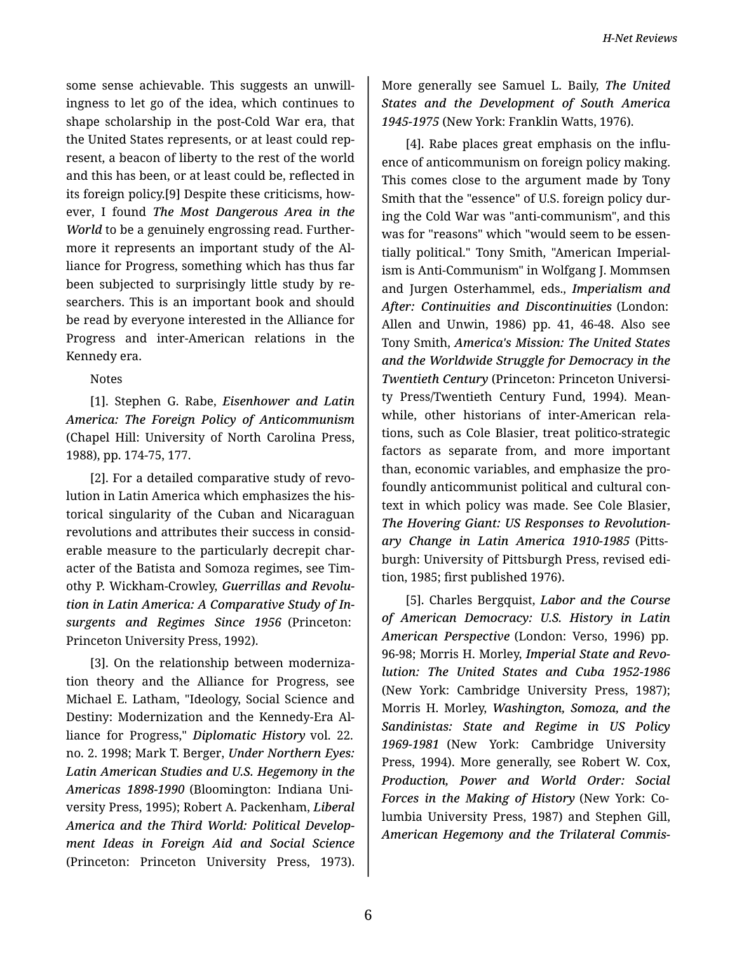some sense achievable. This suggests an unwill‐ ingness to let go of the idea, which continues to shape scholarship in the post-Cold War era, that the United States represents, or at least could rep‐ resent, a beacon of liberty to the rest of the world and this has been, or at least could be, reflected in its foreign policy.[9] Despite these criticisms, how‐ ever, I found *The Most Dangerous Area in the World* to be a genuinely engrossing read. Further‐ more it represents an important study of the Al‐ liance for Progress, something which has thus far been subjected to surprisingly little study by re‐ searchers. This is an important book and should be read by everyone interested in the Alliance for Progress and inter-American relations in the Kennedy era.

## Notes

[1]. Stephen G. Rabe, *Eisenhower and Latin America: The Foreign Policy of Anticommunism* (Chapel Hill: University of North Carolina Press, 1988), pp. 174-75, 177.

[2]. For a detailed comparative study of revo‐ lution in Latin America which emphasizes the his‐ torical singularity of the Cuban and Nicaraguan revolutions and attributes their success in consid‐ erable measure to the particularly decrepit char‐ acter of the Batista and Somoza regimes, see Tim‐ othy P. Wickham-Crowley, *Guerrillas and Revolu‐ tion in Latin America: A Comparative Study of In‐ surgents and Regimes Since 1956* (Princeton: Princeton University Press, 1992).

[3]. On the relationship between moderniza‐ tion theory and the Alliance for Progress, see Michael E. Latham, "Ideology, Social Science and Destiny: Modernization and the Kennedy-Era Al‐ liance for Progress," *Diplomatic History* vol. 22. no. 2. 1998; Mark T. Berger, *Under Northern Eyes: Latin American Studies and U.S. Hegemony in the Americas 1898-1990* (Bloomington: Indiana Uni‐ versity Press, 1995); Robert A. Packenham, *Liberal America and the Third World: Political Develop‐ ment Ideas in Foreign Aid and Social Science* (Princeton: Princeton University Press, 1973).

More generally see Samuel L. Baily, *The United States and the Development of South America 1945-1975* (New York: Franklin Watts, 1976).

[4]. Rabe places great emphasis on the influ‐ ence of anticommunism on foreign policy making. This comes close to the argument made by Tony Smith that the "essence" of U.S. foreign policy dur‐ ing the Cold War was "anti-communism", and this was for "reasons" which "would seem to be essen‐ tially political." Tony Smith, "American Imperial‐ ism is Anti-Communism" in Wolfgang J. Mommsen and Jurgen Osterhammel, eds., *Imperialism and After: Continuities and Discontinuities* (London: Allen and Unwin, 1986) pp. 41, 46-48. Also see Tony Smith, *America's Mission: The United States and the Worldwide Struggle for Democracy in the Twentieth Century* (Princeton: Princeton Universi‐ ty Press/Twentieth Century Fund, 1994). Mean‐ while, other historians of inter-American rela‐ tions, such as Cole Blasier, treat politico-strategic factors as separate from, and more important than, economic variables, and emphasize the pro‐ foundly anticommunist political and cultural con‐ text in which policy was made. See Cole Blasier, *The Hovering Giant: US Responses to Revolution‐ ary Change in Latin America 1910-1985* (Pitts‐ burgh: University of Pittsburgh Press, revised edi‐ tion, 1985; first published 1976).

[5]. Charles Bergquist, *Labor and the Course of American Democracy: U.S. History in Latin American Perspective* (London: Verso, 1996) pp. 96-98; Morris H. Morley, *Imperial State and Revo‐ lution: The United States and Cuba 1952-1986* (New York: Cambridge University Press, 1987); Morris H. Morley, *Washington, Somoza, and the Sandinistas: State and Regime in US Policy 1969-1981* (New York: Cambridge University Press, 1994). More generally, see Robert W. Cox, *Production, Power and World Order: Social Forces in the Making of History* (New York: Co‐ lumbia University Press, 1987) and Stephen Gill, *American Hegemony and the Trilateral Commis‐*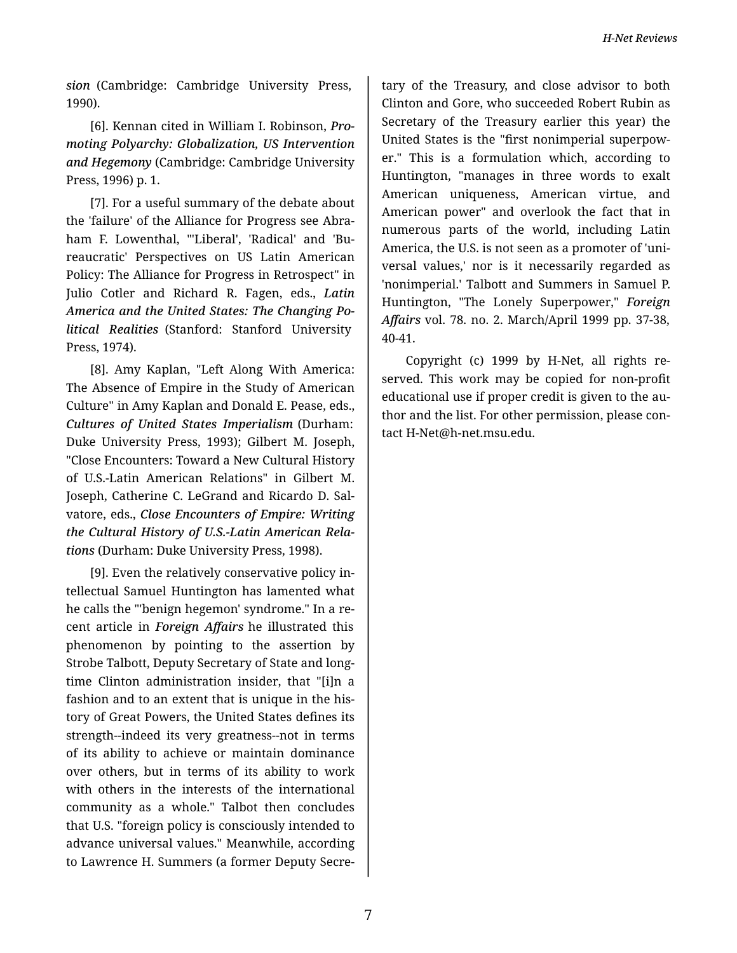*H-Net Reviews*

*sion* (Cambridge: Cambridge University Press, 1990).

[6]. Kennan cited in William I. Robinson, *Pro‐ moting Polyarchy: Globalization, US Intervention and Hegemony* (Cambridge: Cambridge University Press, 1996) p. 1.

[7]. For a useful summary of the debate about the 'failure' of the Alliance for Progress see Abra‐ ham F. Lowenthal, "'Liberal', 'Radical' and 'Bureaucratic' Perspectives on US Latin American Policy: The Alliance for Progress in Retrospect" in Julio Cotler and Richard R. Fagen, eds., *Latin America and the United States: The Changing Po‐ litical Realities* (Stanford: Stanford University Press, 1974).

[8]. Amy Kaplan, "Left Along With America: The Absence of Empire in the Study of American Culture" in Amy Kaplan and Donald E. Pease, eds., *Cultures of United States Imperialism* (Durham: Duke University Press, 1993); Gilbert M. Joseph, "Close Encounters: Toward a New Cultural History of U.S.-Latin American Relations" in Gilbert M. Joseph, Catherine C. LeGrand and Ricardo D. Sal‐ vatore, eds., *Close Encounters of Empire: Writing the Cultural History of U.S.-Latin American Rela‐ tions* (Durham: Duke University Press, 1998).

[9]. Even the relatively conservative policy in‐ tellectual Samuel Huntington has lamented what he calls the "'benign hegemon' syndrome." In a re‐ cent article in *Foreign Affairs* he illustrated this phenomenon by pointing to the assertion by Strobe Talbott, Deputy Secretary of State and longtime Clinton administration insider, that "[i]n a fashion and to an extent that is unique in the his‐ tory of Great Powers, the United States defines its strength--indeed its very greatness--not in terms of its ability to achieve or maintain dominance over others, but in terms of its ability to work with others in the interests of the international community as a whole." Talbot then concludes that U.S. "foreign policy is consciously intended to advance universal values." Meanwhile, according to Lawrence H. Summers (a former Deputy Secre‐

tary of the Treasury, and close advisor to both Clinton and Gore, who succeeded Robert Rubin as Secretary of the Treasury earlier this year) the United States is the "first nonimperial superpow‐ er." This is a formulation which, according to Huntington, "manages in three words to exalt American uniqueness, American virtue, and American power" and overlook the fact that in numerous parts of the world, including Latin America, the U.S. is not seen as a promoter of 'uni‐ versal values,' nor is it necessarily regarded as 'nonimperial.' Talbott and Summers in Samuel P. Huntington, "The Lonely Superpower," *Foreign Affairs* vol. 78. no. 2. March/April 1999 pp. 37-38, 40-41.

Copyright (c) 1999 by H-Net, all rights re‐ served. This work may be copied for non-profit educational use if proper credit is given to the au‐ thor and the list. For other permission, please con‐ tact H-Net@h-net.msu.edu.